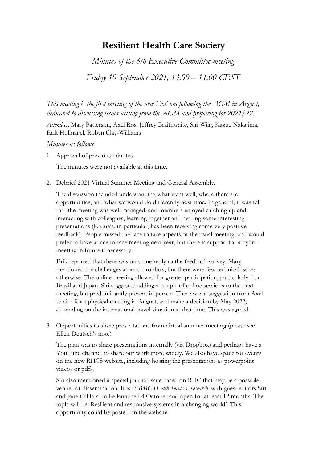## **Resilient Health Care Society**

*Minutes of the 6th Executive Committee meeting* 

*Friday 10 September 2021, 13:00 – 14:00 CEST*

*This meeting is the first meeting of the new ExCom following the AGM in August, dedicated to discussing issues arising from the AGM and preparing for 2021/22.* 

*Attendees:* Mary Patterson, Axel Ros, Jeffrey Braithwaite, Siri Wiig, Kazue Nakajima, Erik Hollnagel, Robyn Clay-Williams

## *Minutes as follows:*

1. Approval of previous minutes.

The minutes were not available at this time.

2. Debrief 2021 Virtual Summer Meeting and General Assembly.

 The discussion included understanding what went well, where there are opportunities, and what we would do differently next time. In general, it was felt that the meeting was well managed, and members enjoyed catching up and interacting with colleagues, learning together and hearing some interesting presentations (Kazue's, in particular, has been receiving some very positive feedback). People missed the face to face aspects of the usual meeting, and would prefer to have a face to face meeting next year, but there is support for a hybrid meeting in future if necessary.

Erik reported that there was only one reply to the feedback survey. Mary mentioned the challenges around dropbox, but there were few technical issues otherwise. The online meeting allowed for greater participation, particularly from Brazil and Japan. Siri suggested adding a couple of online sessions to the next meeting, but predominantly present in person. There was a suggestion from Axel to aim for a physical meeting in August, and make a decision by May 2022, depending on the international travel situation at that time. This was agreed.

3. Opportunities to share presentations from virtual summer meeting (please see Ellen Deutsch's note).

 The plan was to share presentations internally (via Dropbox) and perhaps have a YouTube channel to share our work more widely. We also have space for events on the new RHCS website, including hosting the presentations as powerpoint videos or pdfs.

 Siri also mentioned a special journal issue based on RHC that may be a possible venue for dissemination. It is in *BMC Health Services Research*, with guest editors Siri and Jane O'Hara, to be launched 4 October and open for at least 12 months. The topic will be 'Resilient and responsive systems in a changing world'. This opportunity could be posted on the website.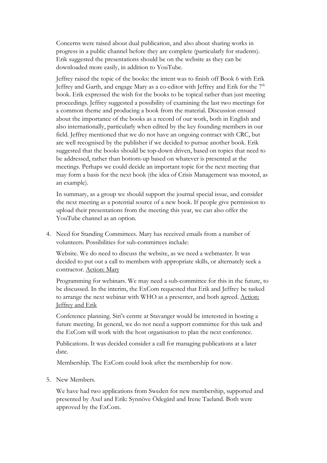Concerns were raised about dual publication, and also about sharing works in progress in a public channel before they are complete (particularly for students). Erik suggested the presentations should be on the website as they can be downloaded more easily, in addition to YouTube.

 Jeffrey raised the topic of the books: the intent was to finish off Book 6 with Erik Jeffrey and Garth, and engage Mary as a co-editor with Jeffrey and Erik for the  $7<sup>th</sup>$ book. Erik expressed the wish for the books to be topical rather than just meeting proceedings. Jeffrey suggested a possibility of examining the last two meetings for a common theme and producing a book from the material. Discussion ensued about the importance of the books as a record of our work, both in English and also internationally, particularly when edited by the key founding members in our field. Jeffrey mentioned that we do not have an ongoing contract with CRC, but are well recognised by the publisher if we decided to pursue another book. Erik suggested that the books should be top-down driven, based on topics that need to be addressed, rather than bottom-up based on whatever is presented at the meetings. Perhaps we could decide an important topic for the next meeting that may form a basis for the next book (the idea of Crisis Management was mooted, as an example).

In summary, as a group we should support the journal special issue, and consider the next meeting as a potential source of a new book. If people give permission to upload their presentations from the meeting this year, we can also offer the YouTube channel as an option.

4. Need for Standing Committees. Mary has received emails from a number of volunteers. Possibilities for sub-committees include:

 Website. We do need to discuss the website, as we need a webmaster. It was decided to put out a call to members with appropriate skills, or alternately seek a contractor. Action: Mary

 Programming for webinars. We may need a sub-committee for this in the future, to be discussed. In the interim, the ExCom requested that Erik and Jeffrey be tasked to arrange the next webinar with WHO as a presenter, and both agreed. Action: Jeffrey and Erik

 Conference planning. Siri's centre at Stavanger would be interested in hosting a future meeting. In general, we do not need a support committee for this task and the ExCom will work with the host organisation to plan the next conference.

 Publications. It was decided consider a call for managing publications at a later date.

Membership. The ExCom could look after the membership for now.

5. New Members.

We have had two applications from Sweden for new membership, supported and presented by Axel and Erik: Synnöve Ödegård and Irene Taeland. Both were approved by the ExCom.